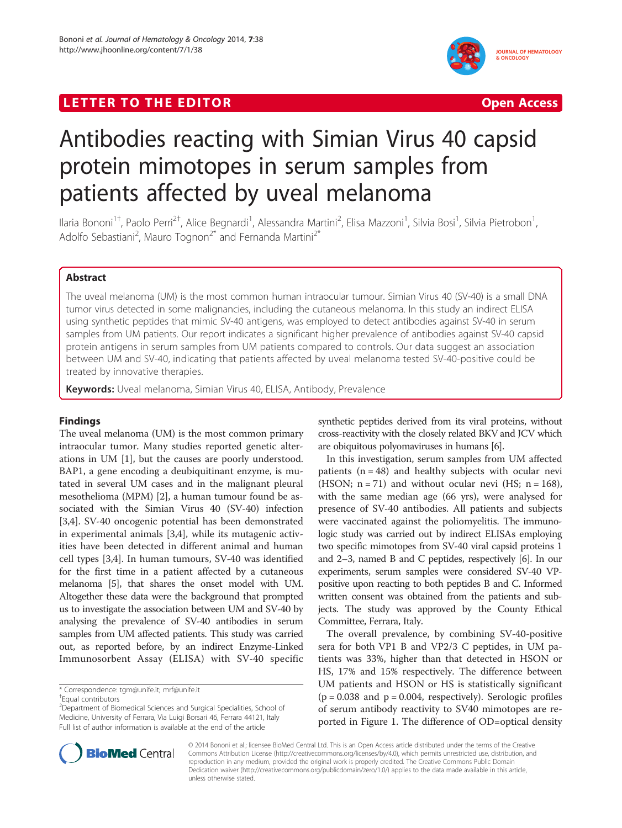# LETTER TO THE EDITOR **CONSTRUCTED ACCESS** Open Access



# Antibodies reacting with Simian Virus 40 capsid protein mimotopes in serum samples from patients affected by uveal melanoma

Ilaria Bononi<sup>1†</sup>, Paolo Perri<sup>2†</sup>, Alice Begnardi<sup>1</sup>, Alessandra Martini<sup>2</sup>, Elisa Mazzoni<sup>1</sup>, Silvia Bosi<sup>1</sup>, Silvia Pietrobon<sup>1</sup> , Adolfo Sebastiani<sup>2</sup>, Mauro Tognon<sup>2\*</sup> and Fernanda Martini<sup>2\*</sup>

# Abstract

The uveal melanoma (UM) is the most common human intraocular tumour. Simian Virus 40 (SV-40) is a small DNA tumor virus detected in some malignancies, including the cutaneous melanoma. In this study an indirect ELISA using synthetic peptides that mimic SV-40 antigens, was employed to detect antibodies against SV-40 in serum samples from UM patients. Our report indicates a significant higher prevalence of antibodies against SV-40 capsid protein antigens in serum samples from UM patients compared to controls. Our data suggest an association between UM and SV-40, indicating that patients affected by uveal melanoma tested SV-40-positive could be treated by innovative therapies.

Keywords: Uveal melanoma, Simian Virus 40, ELISA, Antibody, Prevalence

# Findings

The uveal melanoma (UM) is the most common primary intraocular tumor. Many studies reported genetic alterations in UM [\[1](#page-2-0)], but the causes are poorly understood. BAP1, a gene encoding a deubiquitinant enzyme, is mutated in several UM cases and in the malignant pleural mesothelioma (MPM) [\[2\]](#page-2-0), a human tumour found be associated with the Simian Virus 40 (SV-40) infection [[3,4\]](#page-2-0). SV-40 oncogenic potential has been demonstrated in experimental animals [[3,4\]](#page-2-0), while its mutagenic activities have been detected in different animal and human cell types [\[3,4](#page-2-0)]. In human tumours, SV-40 was identified for the first time in a patient affected by a cutaneous melanoma [[5](#page-2-0)], that shares the onset model with UM. Altogether these data were the background that prompted us to investigate the association between UM and SV-40 by analysing the prevalence of SV-40 antibodies in serum samples from UM affected patients. This study was carried out, as reported before, by an indirect Enzyme-Linked Immunosorbent Assay (ELISA) with SV-40 specific

\* Correspondence: [tgm@unife.it](mailto:tgm@unife.it); [mrf@unife.it](mailto:mrf@unife.it) †

synthetic peptides derived from its viral proteins, without cross-reactivity with the closely related BKV and JCV which are obiquitous polyomaviruses in humans [\[6](#page-2-0)].

In this investigation, serum samples from UM affected patients  $(n = 48)$  and healthy subjects with ocular nevi (HSON;  $n = 71$ ) and without ocular nevi (HS;  $n = 168$ ), with the same median age (66 yrs), were analysed for presence of SV-40 antibodies. All patients and subjects were vaccinated against the poliomyelitis. The immunologic study was carried out by indirect ELISAs employing two specific mimotopes from SV-40 viral capsid proteins 1 and 2–3, named B and C peptides, respectively [\[6\]](#page-2-0). In our experiments, serum samples were considered SV-40 VPpositive upon reacting to both peptides B and C. Informed written consent was obtained from the patients and subjects. The study was approved by the County Ethical Committee, Ferrara, Italy.

The overall prevalence, by combining SV-40-positive sera for both VP1 B and VP2/3 C peptides, in UM patients was 33%, higher than that detected in HSON or HS, 17% and 15% respectively. The difference between UM patients and HSON or HS is statistically significant  $(p = 0.038$  and  $p = 0.004$ , respectively). Serologic profiles of serum antibody reactivity to SV40 mimotopes are reported in Figure [1.](#page-1-0) The difference of OD=optical density



© 2014 Bononi et al.; licensee BioMed Central Ltd. This is an Open Access article distributed under the terms of the Creative Commons Attribution License [\(http://creativecommons.org/licenses/by/4.0\)](http://creativecommons.org/licenses/by/4.0), which permits unrestricted use, distribution, and reproduction in any medium, provided the original work is properly credited. The Creative Commons Public Domain Dedication waiver [\(http://creativecommons.org/publicdomain/zero/1.0/](http://creativecommons.org/publicdomain/zero/1.0/)) applies to the data made available in this article, unless otherwise stated.

Equal contributors

<sup>&</sup>lt;sup>2</sup> Department of Biomedical Sciences and Surgical Specialities, School of Medicine, University of Ferrara, Via Luigi Borsari 46, Ferrara 44121, Italy Full list of author information is available at the end of the article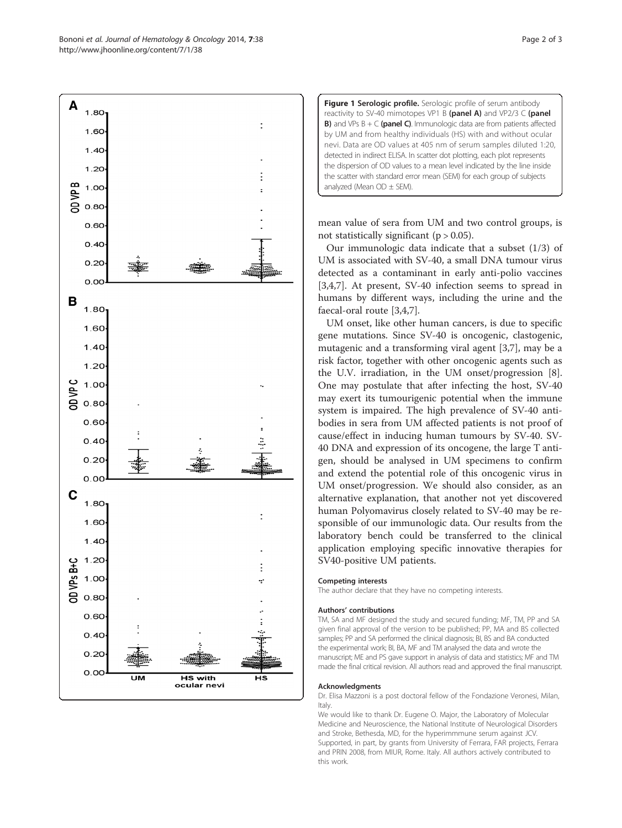mean value of sera from UM and two control groups, is not statistically significant ( $p > 0.05$ ).

analyzed (Mean  $OD \pm SEM$ ).

Figure 1 Serologic profile. Serologic profile of serum antibody reactivity to SV-40 mimotopes VP1 B (panel A) and VP2/3 C (panel **B)** and VPs  $B + C$  (panel C). Immunologic data are from patients affected by UM and from healthy individuals (HS) with and without ocular nevi. Data are OD values at 405 nm of serum samples diluted 1:20, detected in indirect ELISA. In scatter dot plotting, each plot represents the dispersion of OD values to a mean level indicated by the line inside the scatter with standard error mean (SEM) for each group of subjects

Our immunologic data indicate that a subset (1/3) of UM is associated with SV-40, a small DNA tumour virus detected as a contaminant in early anti-polio vaccines [[3,4,7\]](#page-2-0). At present, SV-40 infection seems to spread in humans by different ways, including the urine and the faecal-oral route [[3,4,7\]](#page-2-0).

UM onset, like other human cancers, is due to specific gene mutations. Since SV-40 is oncogenic, clastogenic, mutagenic and a transforming viral agent [\[3,7](#page-2-0)], may be a risk factor, together with other oncogenic agents such as the U.V. irradiation, in the UM onset/progression [\[8](#page-2-0)]. One may postulate that after infecting the host, SV-40 may exert its tumourigenic potential when the immune system is impaired. The high prevalence of SV-40 antibodies in sera from UM affected patients is not proof of cause/effect in inducing human tumours by SV-40. SV-40 DNA and expression of its oncogene, the large T antigen, should be analysed in UM specimens to confirm and extend the potential role of this oncogenic virus in UM onset/progression. We should also consider, as an alternative explanation, that another not yet discovered human Polyomavirus closely related to SV-40 may be responsible of our immunologic data. Our results from the laboratory bench could be transferred to the clinical application employing specific innovative therapies for SV40-positive UM patients.

#### Competing interests

The author declare that they have no competing interests.

#### Authors' contributions

TM, SA and MF designed the study and secured funding; MF, TM, PP and SA given final approval of the version to be published; PP, MA and BS collected samples; PP and SA performed the clinical diagnosis; BI, BS and BA conducted the experimental work; BI, BA, MF and TM analysed the data and wrote the manuscript; ME and PS gave support in analysis of data and statistics; MF and TM made the final critical revision. All authors read and approved the final manuscript.

#### Acknowledgments

Dr. Elisa Mazzoni is a post doctoral fellow of the Fondazione Veronesi, Milan, Italy.

We would like to thank Dr. Eugene O. Major, the Laboratory of Molecular Medicine and Neuroscience, the National Institute of Neurological Disorders and Stroke, Bethesda, MD, for the hyperimmmune serum against JCV. Supported, in part, by grants from University of Ferrara, FAR projects, Ferrara and PRIN 2008, from MIUR, Rome. Italy. All authors actively contributed to this work.

<span id="page-1-0"></span>